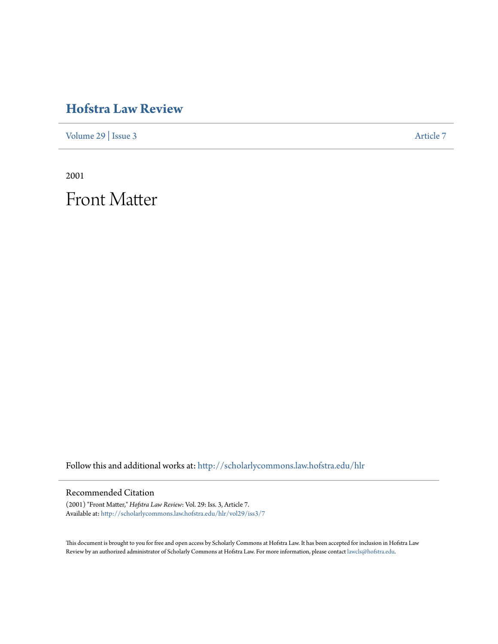## **[Hofstra Law Review](http://scholarlycommons.law.hofstra.edu/hlr?utm_source=scholarlycommons.law.hofstra.edu%2Fhlr%2Fvol29%2Fiss3%2F7&utm_medium=PDF&utm_campaign=PDFCoverPages)**

[Volume 29](http://scholarlycommons.law.hofstra.edu/hlr/vol29?utm_source=scholarlycommons.law.hofstra.edu%2Fhlr%2Fvol29%2Fiss3%2F7&utm_medium=PDF&utm_campaign=PDFCoverPages) | [Issue 3](http://scholarlycommons.law.hofstra.edu/hlr/vol29/iss3?utm_source=scholarlycommons.law.hofstra.edu%2Fhlr%2Fvol29%2Fiss3%2F7&utm_medium=PDF&utm_campaign=PDFCoverPages) [Article 7](http://scholarlycommons.law.hofstra.edu/hlr/vol29/iss3/7?utm_source=scholarlycommons.law.hofstra.edu%2Fhlr%2Fvol29%2Fiss3%2F7&utm_medium=PDF&utm_campaign=PDFCoverPages)

2001

Front Matter

Follow this and additional works at: [http://scholarlycommons.law.hofstra.edu/hlr](http://scholarlycommons.law.hofstra.edu/hlr?utm_source=scholarlycommons.law.hofstra.edu%2Fhlr%2Fvol29%2Fiss3%2F7&utm_medium=PDF&utm_campaign=PDFCoverPages)

### Recommended Citation

(2001) "Front Matter," *Hofstra Law Review*: Vol. 29: Iss. 3, Article 7. Available at: [http://scholarlycommons.law.hofstra.edu/hlr/vol29/iss3/7](http://scholarlycommons.law.hofstra.edu/hlr/vol29/iss3/7?utm_source=scholarlycommons.law.hofstra.edu%2Fhlr%2Fvol29%2Fiss3%2F7&utm_medium=PDF&utm_campaign=PDFCoverPages)

This document is brought to you for free and open access by Scholarly Commons at Hofstra Law. It has been accepted for inclusion in Hofstra Law Review by an authorized administrator of Scholarly Commons at Hofstra Law. For more information, please contact [lawcls@hofstra.edu](mailto:lawcls@hofstra.edu).